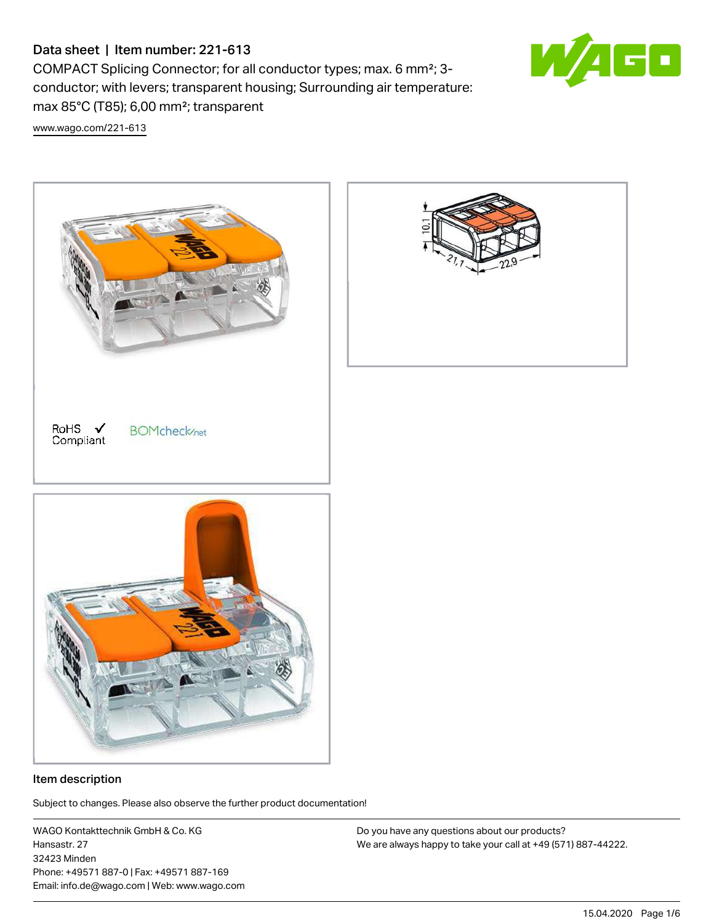COMPACT Splicing Connector; for all conductor types; max. 6 mm²; 3 conductor; with levers; transparent housing; Surrounding air temperature: max 85°C (T85); 6,00 mm²; transparent

[www.wago.com/221-613](http://www.wago.com/221-613)



#### Item description

.<br>Subject to changes. Please also observe the further product documentation!

WAGO Kontakttechnik GmbH & Co. KG Hansastr. 27 32423 Minden Phone: +49571 887-0 | Fax: +49571 887-169 Email: info.de@wago.com | Web: www.wago.com

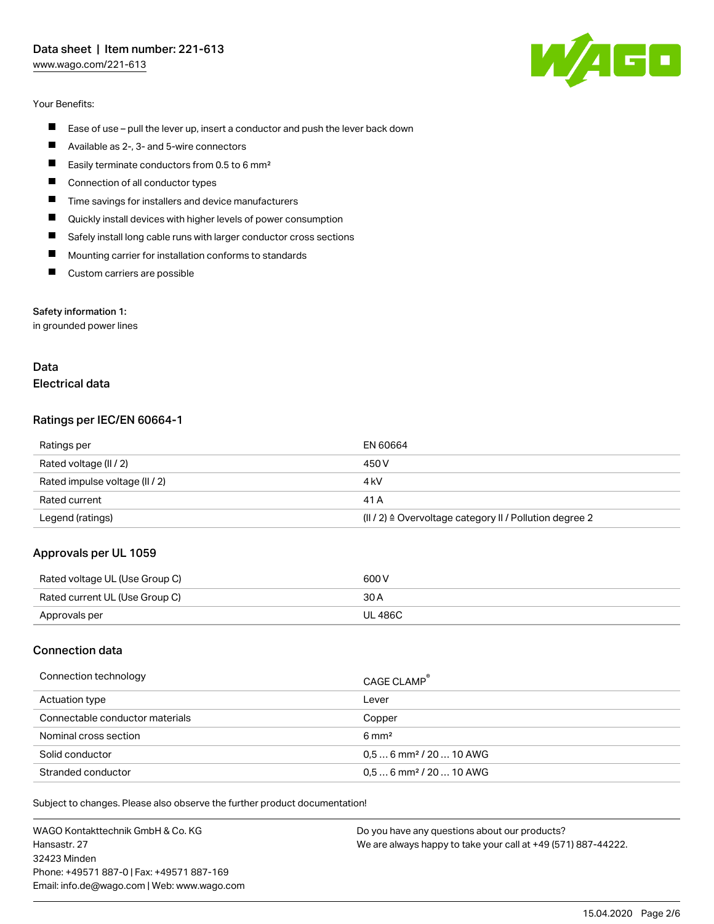[www.wago.com/221-613](http://www.wago.com/221-613)

#### Your Benefits:

- $\blacksquare$ Ease of use – pull the lever up, insert a conductor and push the lever back down
- П Available as 2-, 3- and 5-wire connectors
- $\blacksquare$ Easily terminate conductors from 0.5 to 6 mm²
- П Connection of all conductor types
- П Time savings for installers and device manufacturers
- П Quickly install devices with higher levels of power consumption
- П Safely install long cable runs with larger conductor cross sections
- П Mounting carrier for installation conforms to standards
- $\blacksquare$ Custom carriers are possible

#### Safety information 1:

in grounded power lines

### Data Electrical data

#### Ratings per IEC/EN 60664-1

| Ratings per                    | EN 60664                                                            |
|--------------------------------|---------------------------------------------------------------------|
| Rated voltage (II / 2)         | 450 V                                                               |
| Rated impulse voltage (II / 2) | 4 kV                                                                |
| Rated current                  | 41 A                                                                |
| Legend (ratings)               | $(   / 2)$ $\triangle$ Overvoltage category II / Pollution degree 2 |

## Approvals per UL 1059

| Rated voltage UL (Use Group C) | 600 V   |
|--------------------------------|---------|
| Rated current UL (Use Group C) | 30 A    |
| Approvals per                  | UL 486C |

#### Connection data

| Connection technology           | CAGE CLAMP <sup>®</sup>             |
|---------------------------------|-------------------------------------|
| Actuation type                  | Lever                               |
| Connectable conductor materials | Copper                              |
| Nominal cross section           | $6 \text{ mm}^2$                    |
| Solid conductor                 | $0.56$ mm <sup>2</sup> / 20  10 AWG |
| Stranded conductor              | $0.56$ mm <sup>2</sup> / 20  10 AWG |

Subject to changes. Please also observe the further product documentation!

WAGO Kontakttechnik GmbH & Co. KG Hansastr. 27 32423 Minden Phone: +49571 887-0 | Fax: +49571 887-169 Email: info.de@wago.com | Web: www.wago.com

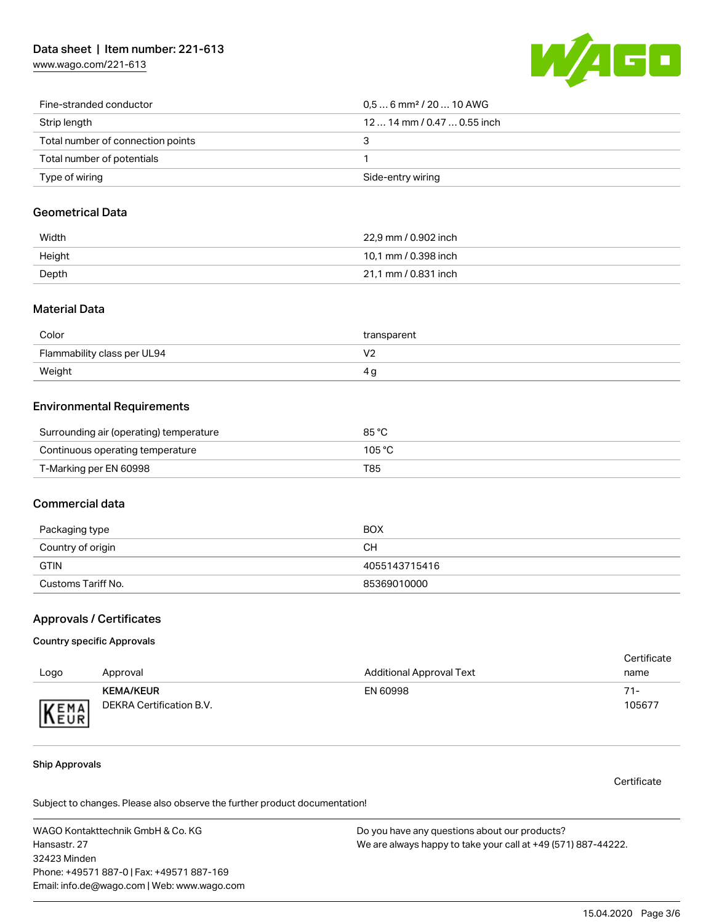[www.wago.com/221-613](http://www.wago.com/221-613)



| Fine-stranded conductor           | $0.56$ mm <sup>2</sup> / 20  10 AWG |
|-----------------------------------|-------------------------------------|
| Strip length                      | 12  14 mm / 0.47  0.55 inch         |
| Total number of connection points |                                     |
| Total number of potentials        |                                     |
| Type of wiring                    | Side-entry wiring                   |

### Geometrical Data

| Width  | 22.9 mm / 0.902 inch |
|--------|----------------------|
| Height | 10,1 mm / 0.398 inch |
| Depth  | 21,1 mm / 0.831 inch |

#### Material Data

| Color                       | transparent |
|-----------------------------|-------------|
| Flammability class per UL94 |             |
| Weight                      | 4 Q         |

### Environmental Requirements

| Surrounding air (operating) temperature | 85 °C  |
|-----------------------------------------|--------|
| Continuous operating temperature        | 105 °C |
| T-Marking per EN 60998                  | T85    |

## Commercial data

| Packaging type     | BOX           |
|--------------------|---------------|
| Country of origin  | CН            |
| <b>GTIN</b>        | 4055143715416 |
| Customs Tariff No. | 85369010000   |

### Approvals / Certificates

#### Country specific Approvals

|      |                          |                                 | Certificate |
|------|--------------------------|---------------------------------|-------------|
| Logo | Approval                 | <b>Additional Approval Text</b> | name        |
|      | <b>KEMA/KEUR</b>         | EN 60998                        | 71-         |
| KEMA | DEKRA Certification B.V. |                                 | 105677      |

#### Ship Approvals

Certificate

Subject to changes. Please also observe the further product documentation!

WAGO Kontakttechnik GmbH & Co. KG Hansastr. 27 32423 Minden Phone: +49571 887-0 | Fax: +49571 887-169 Email: info.de@wago.com | Web: www.wago.com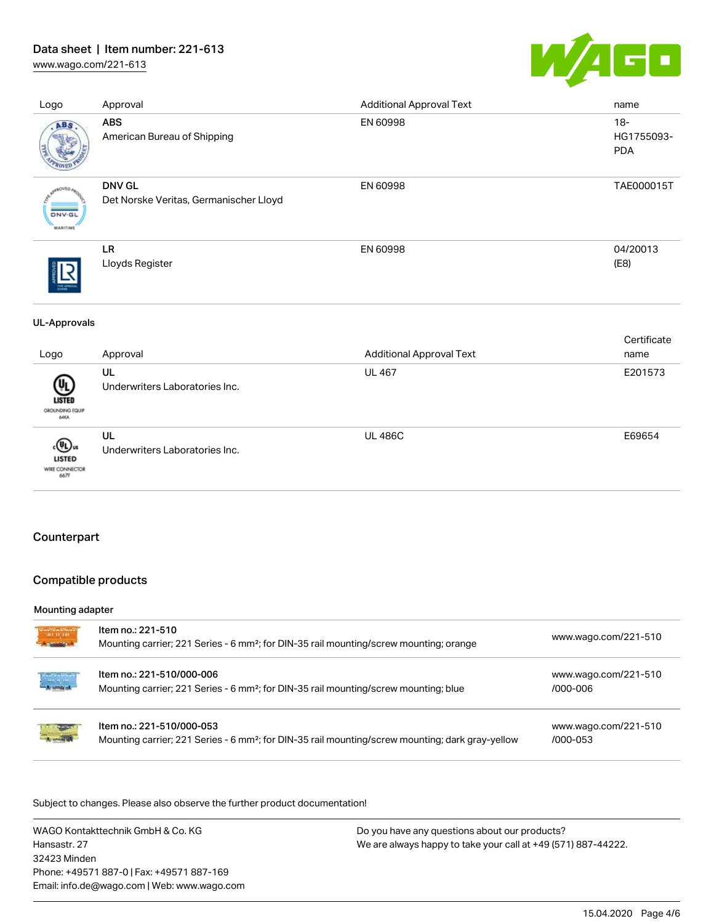[www.wago.com/221-613](http://www.wago.com/221-613)



| Logo                                            | Approval                                                | <b>Additional Approval Text</b> | name                               |
|-------------------------------------------------|---------------------------------------------------------|---------------------------------|------------------------------------|
| ABS                                             | <b>ABS</b><br>American Bureau of Shipping               | EN 60998                        | $18 -$<br>HG1755093-<br><b>PDA</b> |
| aOVED <sub>4</sub><br><b>DNV-GL</b><br>MARITIME | <b>DNV GL</b><br>Det Norske Veritas, Germanischer Lloyd | EN 60998                        | TAE000015T                         |
|                                                 | LR<br>Lloyds Register                                   | EN 60998                        | 04/20013<br>(E8)                   |
| <b>UL-Approvals</b>                             |                                                         |                                 |                                    |
| Logo                                            | Approval                                                | <b>Additional Approval Text</b> | Certificate<br>name                |
| LISTED<br>GROUNDING EQUIP<br>60CA               | UL<br>Underwriters Laboratories Inc.                    | <b>UL 467</b>                   | E201573                            |
| ‹(Ս․)ս<br>LISTED<br>WIRE CONNECTOR<br>667F      | UL<br>Underwriters Laboratories Inc.                    | <b>UL 486C</b>                  | E69654                             |

## Counterpart

## Compatible products

#### Mounting adapter

| e arajar<br>Saman | Item no.: 221-510<br>Mounting carrier; 221 Series - 6 mm <sup>2</sup> ; for DIN-35 rail mounting/screw mounting; orange                   | www.wago.com/221-510                 |
|-------------------|-------------------------------------------------------------------------------------------------------------------------------------------|--------------------------------------|
|                   | Item no.: 221-510/000-006<br>Mounting carrier; 221 Series - 6 mm <sup>2</sup> ; for DIN-35 rail mounting/screw mounting; blue             | www.wago.com/221-510<br>/000-006     |
|                   | Item no.: 221-510/000-053<br>Mounting carrier; 221 Series - 6 mm <sup>2</sup> ; for DIN-35 rail mounting/screw mounting; dark gray-yellow | www.wago.com/221-510<br>$/000 - 053$ |

.<br>Subject to changes. Please also observe the further product documentation!

WAGO Kontakttechnik GmbH & Co. KG Hansastr. 27 32423 Minden Phone: +49571 887-0 | Fax: +49571 887-169 Email: info.de@wago.com | Web: www.wago.com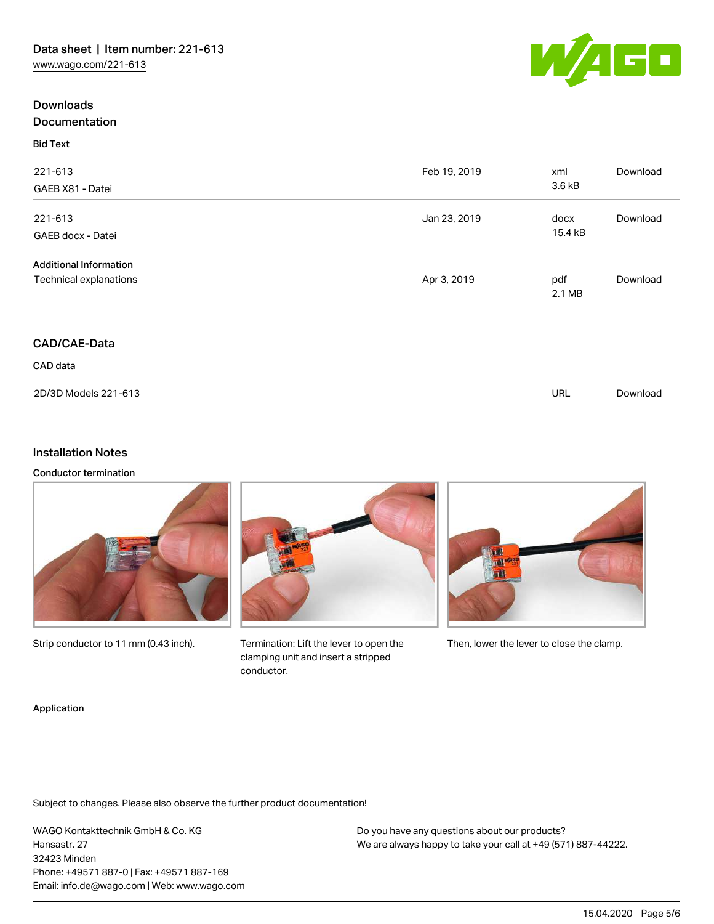## **Downloads** Documentation



Bid Text



| 221-613                       | Feb 19, 2019 | xml              | Download |
|-------------------------------|--------------|------------------|----------|
| GAEB X81 - Datei              |              | 3.6 kB           |          |
| 221-613                       | Jan 23, 2019 | docx             | Download |
| GAEB docx - Datei             |              | 15.4 kB          |          |
| <b>Additional Information</b> |              |                  |          |
| Technical explanations        | Apr 3, 2019  | pdf              | Download |
|                               |              | $2.1 \text{ MB}$ |          |

# CAD/CAE-Data

CAD data

| 2D/3D Models 221-613 | URL | Download |
|----------------------|-----|----------|

# Installation Notes

#### Conductor termination



Strip conductor to 11 mm (0.43 inch).

Termination: Lift the lever to open the Then, lower the lever to close the clamp. clamping unit and insert a stripped conductor.

#### Application

Subject to changes. Please also observe the further product documentation!

WAGO Kontakttechnik GmbH & Co. KG Hansastr. 27 32423 Minden Phone: +49571 887-0 | Fax: +49571 887-169 Email: info.de@wago.com | Web: www.wago.com